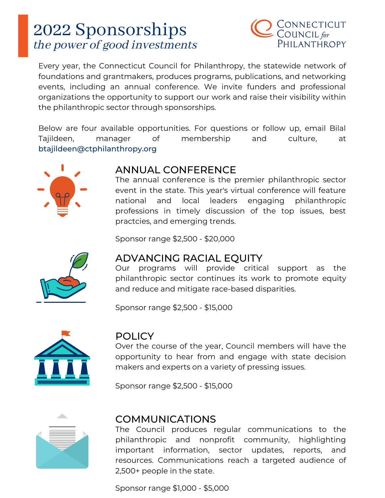

Every year, the Connecticut Council for Philanthropy, the statewide network of foundations and grantmakers, produces programs, publications, and networking events, including an annual conference. We invite funders and professional organizations the opportunity to support our work and raise their visibility within the philanthropic sector through sponsorships.

Below are four available opportunities. For questions or follow up, email Bilal Tajildeen, manager of membership and culture, at btajildeen@ctphilanthropy.org



### ANNUAL CONFERENCE

The annual conference is the premier philanthropic sector event in the state. This year's virtual conference will feature national and local leaders engaging philanthropic professions in timely discussion of the top issues, best practcies, and emerging trends.

Sponsor range \$2,500 - \$20,000



#### ADVANCING RACIAL EQUITY

Our programs will provide critical support as the philanthropic sector continues its work to promote equity and reduce and mitigate race-based disparities.

Sponsor range \$2,500 - \$15,000



#### POLICY

Over the course of the year, Council members will have the opportunity to hear from and engage with state decision makers and experts on a variety of pressing issues.

Sponsor range \$2,500 - \$15,000



#### COMMUNICATIONS

The Council produces regular communications to the philanthropic and nonprofit community, highlighting important information, sector updates, reports, and resources. Communications reach a targeted audience of 2,500+ people in the state.

Sponsor range \$1,000 - \$5,000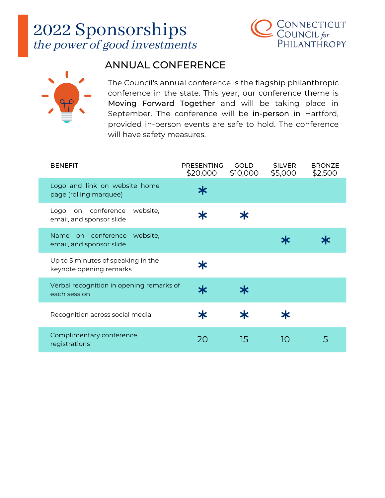



### ANNUAL CONFERENCE

The Council's annual conference is the flagship philanthropic conference in the state. This year, our conference theme is Moving Forward Together and will be taking place in September. The conference will be in-person in Hartford, provided in-person events are safe to hold. The conference will have safety measures.

| <b>BENEFIT</b>                                                | <b>PRESENTING</b><br>\$20,000 | <b>GOLD</b><br>\$10,000 | <b>SILVER</b><br>\$5,000 | <b>BRONZE</b><br>\$2,500 |
|---------------------------------------------------------------|-------------------------------|-------------------------|--------------------------|--------------------------|
| Logo and link on website home<br>page (rolling marquee)       | ≭                             |                         |                          |                          |
| Logo on conference<br>website,<br>email, and sponsor slide    | ≭                             | Ж                       |                          |                          |
| Name on conference<br>website,<br>email, and sponsor slide    |                               |                         | Ж                        |                          |
| Up to 5 minutes of speaking in the<br>keynote opening remarks | Ж                             |                         |                          |                          |
| Verbal recognition in opening remarks of<br>each session      | ≭                             | ≭                       |                          |                          |
| Recognition across social media                               | Ж                             | ≭                       | Ж                        |                          |
| Complimentary conference<br>registrations                     | 20                            | 15                      | 10                       | 5                        |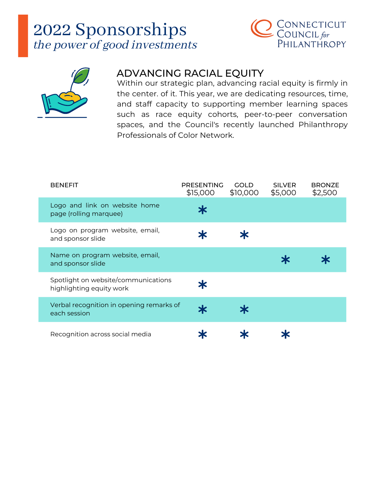



### ADVANCING RACIAL EQUITY

Within our strategic plan, advancing racial equity is firmly in the center. of it. This year, we are dedicating resources, time, and staff capacity to supporting member learning spaces such as race equity cohorts, peer-to-peer conversation spaces, and the Council's recently launched Philanthropy Professionals of Color Network.

| <b>BENEFIT</b>                                                  | <b>PRESENTING</b><br>\$15,000 | GOLD<br>\$10,000 | <b>SILVER</b><br>\$5,000 | <b>BRONZE</b><br>\$2,500 |
|-----------------------------------------------------------------|-------------------------------|------------------|--------------------------|--------------------------|
| Logo and link on website home<br>page (rolling marquee)         | Ж                             |                  |                          |                          |
| Logo on program website, email,<br>and sponsor slide            |                               |                  |                          |                          |
| Name on program website, email,<br>and sponsor slide            |                               |                  |                          |                          |
| Spotlight on website/communications<br>highlighting equity work | Ж                             |                  |                          |                          |
| Verbal recognition in opening remarks of<br>each session        |                               | Ж                |                          |                          |
| Recognition across social media                                 |                               |                  |                          |                          |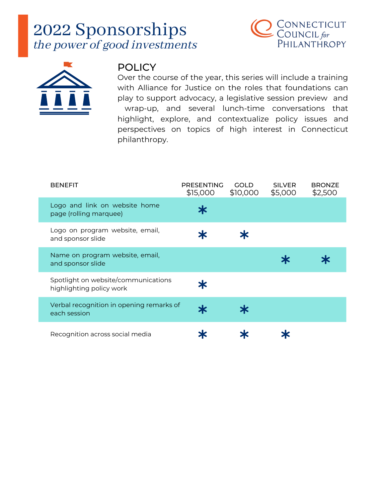



#### **POLICY**

Over the course of the year, this series will include a training with Alliance for Justice on the roles that foundations can play to support advocacy, a legislative session preview and wrap-up, and several lunch-time conversations that highlight, explore, and contextualize policy issues and perspectives on topics of high interest in Connecticut philanthropy.

| <b>BENEFIT</b>                                                  | <b>PRESENTING</b><br>\$15,000 | <b>GOLD</b><br>\$10,000 | <b>SILVER</b><br>\$5,000 | <b>BRONZE</b><br>\$2,500 |
|-----------------------------------------------------------------|-------------------------------|-------------------------|--------------------------|--------------------------|
| Logo and link on website home<br>page (rolling marquee)         |                               |                         |                          |                          |
| Logo on program website, email,<br>and sponsor slide            |                               |                         |                          |                          |
| Name on program website, email,<br>and sponsor slide            |                               |                         |                          |                          |
| Spotlight on website/communications<br>highlighting policy work |                               |                         |                          |                          |
| Verbal recognition in opening remarks of<br>each session        |                               |                         |                          |                          |
| Recognition across social media                                 |                               |                         |                          |                          |